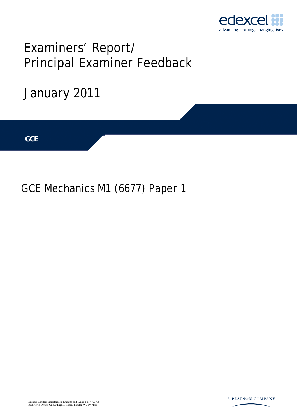

## Examiners' Report/ Principal Examiner Feedback

# January 2011 **IGCSE GCE**

### GCE Mechanics M1 (6677) Paper 1

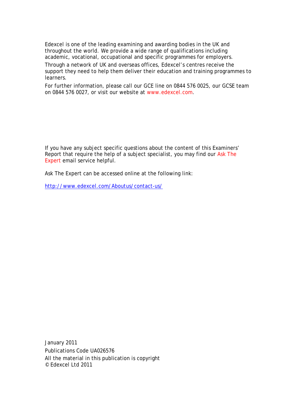Edexcel is one of the leading examining and awarding bodies in the UK and throughout the world. We provide a wide range of qualifications including academic, vocational, occupational and specific programmes for employers.

Through a network of UK and overseas offices, Edexcel's centres receive the support they need to help them deliver their education and training programmes to learners.

For further information, please call our GCE line on 0844 576 0025, our GCSE team on 0844 576 0027, or visit our website at www.edexcel.com.

If you have any subject specific questions about the content of this Examiners' Report that require the help of a subject specialist, you may find our Ask The Expert email service helpful.

Ask The Expert can be accessed online at the following link:

http://www.edexcel.com/Aboutus/contact-us/

January 2011 Publications Code UA026576 All the material in this publication is copyright © Edexcel Ltd 2011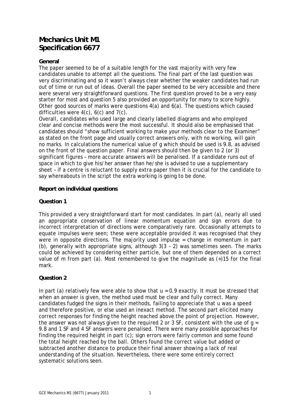#### **Mechanics Unit M1 Specification 6677**

#### **General**

The paper seemed to be of a suitable length for the vast majority with very few candidates unable to attempt all the questions. The final part of the last question was very discriminating and so it wasn't always clear whether the weaker candidates had run out of time or run out of ideas. Overall the paper seemed to be very accessible and there were several very straightforward questions. The first question proved to be a very easy starter for most and question 5 also provided an opportunity for many to score highly. Other good sources of marks were questions 4(a) and 6(a). The questions which caused difficulties were 4(c), 6(c) and 7(c).

Overall, candidates who used large and clearly labelled diagrams and who employed clear and concise methods were the most successful. It should also be emphasised that candidates should "show sufficient working to make your methods clear to the Examiner" as stated on the front page and usually correct answers only, with no working, will gain no marks. In calculations the numerical value of g which should be used is 9.8, as advised on the front of the question paper. Final answers should then be given to 2 (or 3) significant figures – more accurate answers will be penalised. If a candidate runs out of space in which to give his/her answer than he/she is advised to use a supplementary sheet – if a centre is reluctant to supply extra paper then it is crucial for the candidate to say whereabouts in the script the extra working is going to be done.

#### **Report on individual questions**

#### **Question 1**

This provided a very straightforward start for most candidates. In part (a), nearly all used an appropriate conservation of linear momentum equation and sign errors due to incorrect interpretation of directions were comparatively rare. Occasionally attempts to equate impulses were seen; these were acceptable provided it was recognised that they were in opposite directions. The majority used impulse = change in momentum in part (b), generally with appropriate signs, although 3(3 – 2) was sometimes seen. The marks could be achieved by considering either particle, but one of them depended on a correct value of *m* from part (a). Most remembered to give the magnitude as (+)15 for the final mark.

#### **Question 2**

In part (a) relatively few were able to show that  $u = 0.9$  exactly. It must be stressed that when an answer is given, the method used must be clear and fully correct. Many candidates fudged the signs in their methods, failing to appreciate that *u* was a speed and therefore positive, or else used an inexact method. The second part elicited many correct responses for finding the height reached above the point of projection. However, the answer was not always given to the required 2 or 3 SF, consistent with the use of  $q =$ 9.8 and 1 SF and 4 SF answers were penalised. There were many possible approaches for finding the required height in part (c); sign errors were fairly common and some found the total height reached by the ball. Others found the correct value but added or subtracted another distance to produce their final answer showing a lack of real understanding of the situation. Nevertheless, there were some entirely correct systematic solutions seen.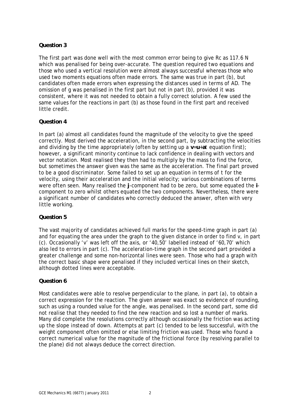#### **Question 3**

The first part was done well with the most common error being to give *Rc* as 117.6 N which was penalised for being over-accurate. The question required two equations and those who used a vertical resolution were almost always successful whereas those who used two moments equations often made errors. The same was true in part (b), but candidates often made errors when expressing the distances used in terms of *AD*. The omission of g was penalised in the first part but not in part (b), provided it was consistent, where it was not needed to obtain a fully correct solution. A few used the same values for the reactions in part (b) as those found in the first part and received little credit.

#### **Question 4**

In part (a) almost all candidates found the magnitude of the velocity to give the speed correctly. Most derived the acceleration, in the second part, by subtracting the velocities and dividing by the time appropriately (often by setting up a **v**=**u**+**a***t* equation first); however, a significant minority continue to lack confidence in dealing with vectors and vector notation. Most realised they then had to multiply by the mass to find the force, but sometimes the answer given was the same as the acceleration. The final part proved to be a good discriminator. Some failed to set up an equation in terms of *t* for the velocity, using their acceleration and the initial velocity; various combinations of terms were often seen. Many realised the **j**-component had to be zero, but some equated the **i**component to zero whilst others equated the two components. Nevertheless, there were a significant number of candidates who correctly deduced the answer, often with very little working.

#### **Question 5**

The vast majority of candidates achieved full marks for the speed-time graph in part (a) and for equating the area under the graph to the given distance in order to find *v*, in part (c). Occasionally '*v*' was left off the axis, or '40,50' labelled instead of '60,70' which also led to errors in part (c). The acceleration-time graph in the second part provided a greater challenge and some non-horizontal lines were seen. Those who had a graph with the correct basic shape were penalised if they included vertical lines on their sketch, although dotted lines were acceptable.

#### **Question 6**

Most candidates were able to resolve perpendicular to the plane, in part (a), to obtain a correct expression for the reaction. The given answer was exact so evidence of rounding, such as using a rounded value for the angle, was penalised. In the second part, some did not realise that they needed to find the new reaction and so lost a number of marks. Many did complete the resolutions correctly although occasionally the friction was acting up the slope instead of down. Attempts at part (c) tended to be less successful, with the weight component often omitted or else limiting friction was used. Those who found a correct numerical value for the magnitude of the frictional force (by resolving parallel to the plane) did not always deduce the correct direction.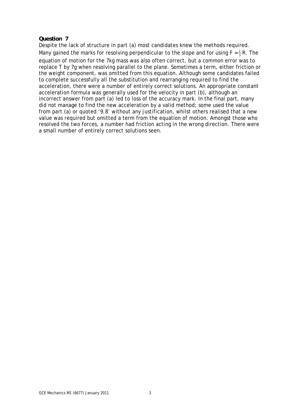#### **Question 7**

Despite the lack of structure in part (a) most candidates knew the methods required. Many gained the marks for resolving perpendicular to the slope and for using  $F = \frac{2}{3} R$ . The equation of motion for the 7kg mass was also often correct, but a common error was to replace *T* by 7g when resolving parallel to the plane. Sometimes a term, either friction or the weight component, was omitted from this equation. Although some candidates failed to complete successfully all the substitution and rearranging required to find the acceleration, there were a number of entirely correct solutions. An appropriate constant acceleration formula was generally used for the velocity in part (b), although an incorrect answer from part (a) led to loss of the accuracy mark. In the final part, many did not manage to find the new acceleration by a valid method; some used the value from part (a) or quoted '9.8' without any justification, whilst others realised that a new value was required but omitted a term from the equation of motion. Amongst those who resolved the two forces, a number had friction acting in the wrong direction. There were a small number of entirely correct solutions seen.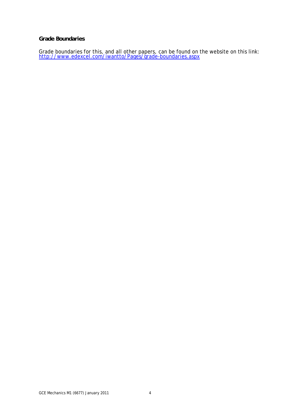#### **Grade Boundaries**

Grade boundaries for this, and all other papers, can be found on the website on this link:<br>http://www.edexcel.com/iwantto/Pages/grade-boundaries.aspx